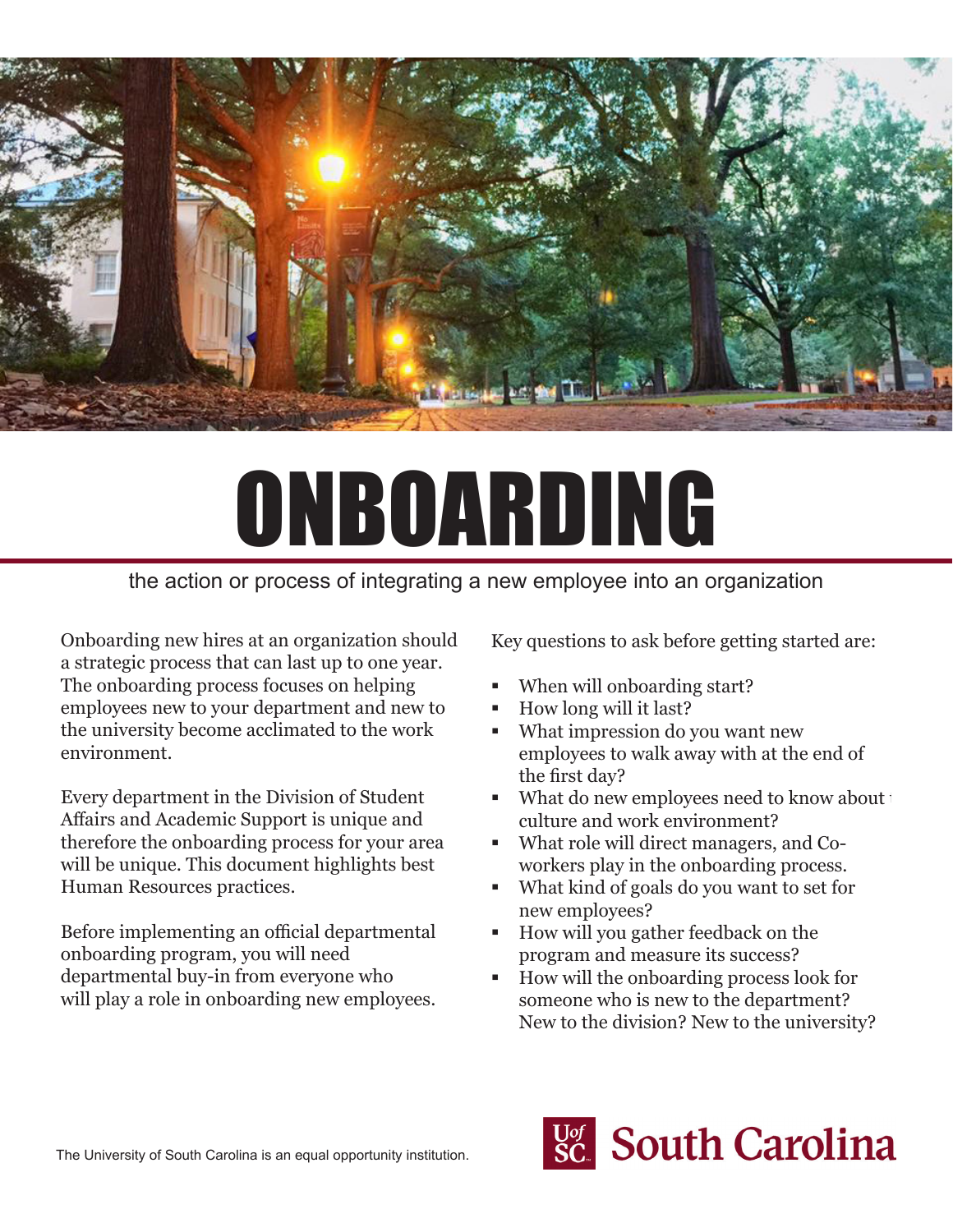

# ONBOARDING

# the action or process of integrating a new employee into an organization

Onboarding new hires at an organization should be a strategic process that can last up to one year. The onboarding process focuses on helping employees new to your department and new to the university become acclimated to the work environment.

Every department in the Division of Student Affairs and Academic Support is unique and therefore the onboarding process for your area will be unique. This document highlights best Human Resources practices.

Before implementing an official departmental onboarding program, you will need departmental buy-in from everyone who will play a role in onboarding new employees. Key questions to ask before getting started are:

- When will onboarding start?
- How long will it last?
- What impression do you want new employees to walk away with at the end of the first day?
- $\blacksquare$  What do new employees need to know about the culture and work environment?
- What role will direct managers, and Coworkers play in the onboarding process.
- What kind of goals do you want to set for new employees?
- How will you gather feedback on the program and measure its success?
- How will the onboarding process look for someone who is new to the department? New to the division? New to the university?

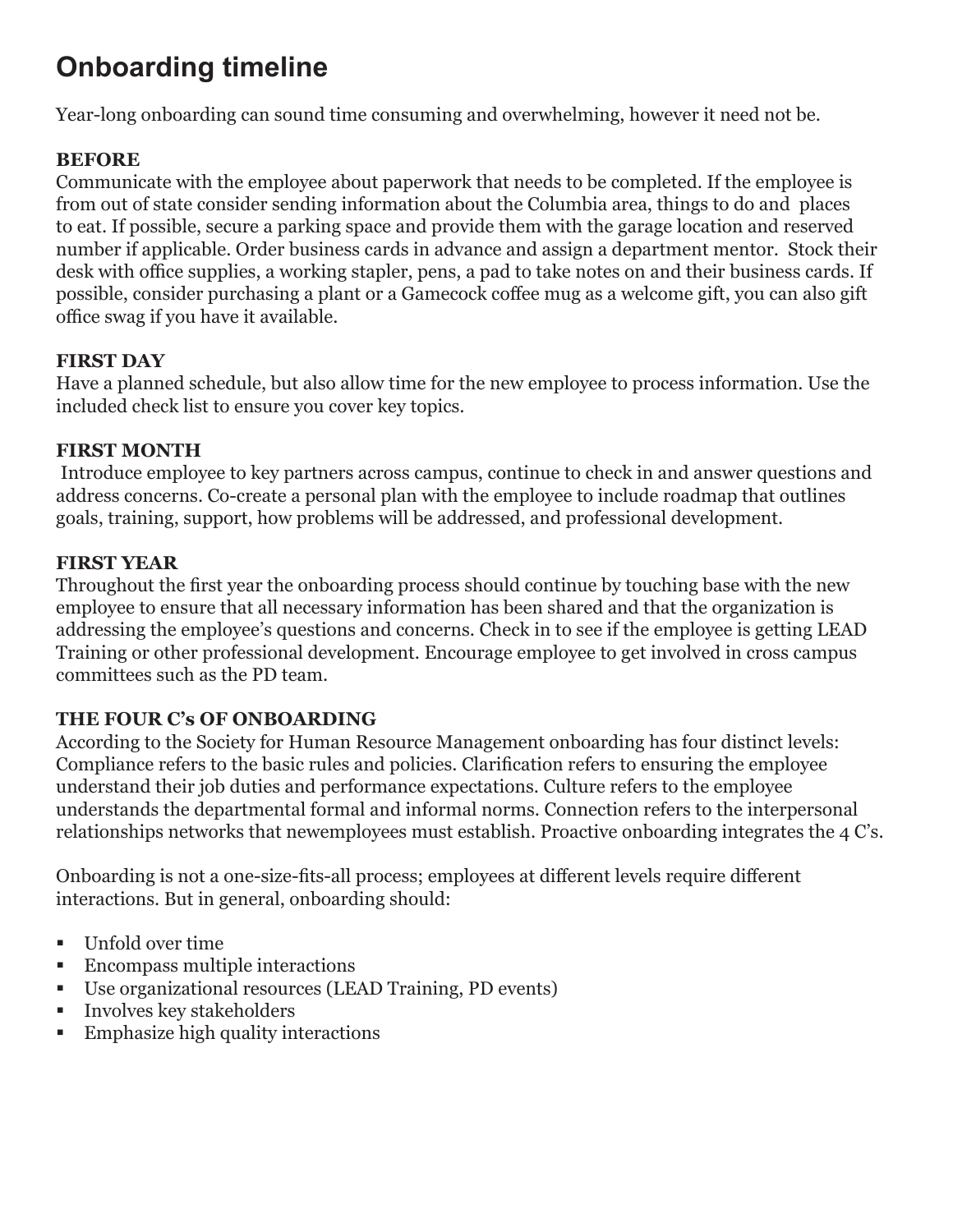# **Onboarding timeline**

Year-long onboarding can sound time consuming and overwhelming, however it need not be.

#### **BEFORE**

Communicate with the employee about paperwork that needs to be completed. If the employee is from out of state consider sending information about the Columbia area, things to do and places to eat. If possible, secure a parking space and provide them with the garage location and reserved number if applicable. Order business cards in advance and assign a department mentor. Stock their desk with office supplies, a working stapler, pens, a pad to take notes on and their business cards. If possible, consider purchasing a plant or a Gamecock coffee mug as a welcome gift, you can also gift office swag if you have it available.

#### **FIRST DAY**

Have a planned schedule, but also allow time for the new employee to process information. Use the included check list to ensure you cover key topics.

#### **FIRST MONTH**

Introduce employee to key partners across campus, continue to check in and answer questions and address concerns. Co-create a personal plan with the employee to include roadmap that outlines goals, training, support, how problems will be addressed, and professional development.

#### **FIRST YEAR**

Throughout the first year the onboarding process should continue by touching base with the new employee to ensure that all necessary information has been shared and that the organization is addressing the employee's questions and concerns. Check in to see if the employee is getting LEAD Training or other professional development. Encourage employee to get involved in cross campus committees such as the PD team.

### **THE FOUR C's OF ONBOARDING**

According to the Society for Human Resource Management onboarding has four distinct levels: Compliance refers to the basic rules and policies. Clarification refers to ensuring the employee understand their job duties and performance expectations. Culture refers to the employee understands the departmental formal and informal norms. Connection refers to the interpersonal relationships networks that newemployees must establish. Proactive onboarding integrates the 4 C's.

Onboarding is not a one-size-fits-all process; employees at different levels require different interactions. But in general, onboarding should:

- Unfold over time
- **Encompass multiple interactions**
- Use organizational resources (LEAD Training, PD events)
- **Involves key stakeholders**
- **Emphasize high quality interactions**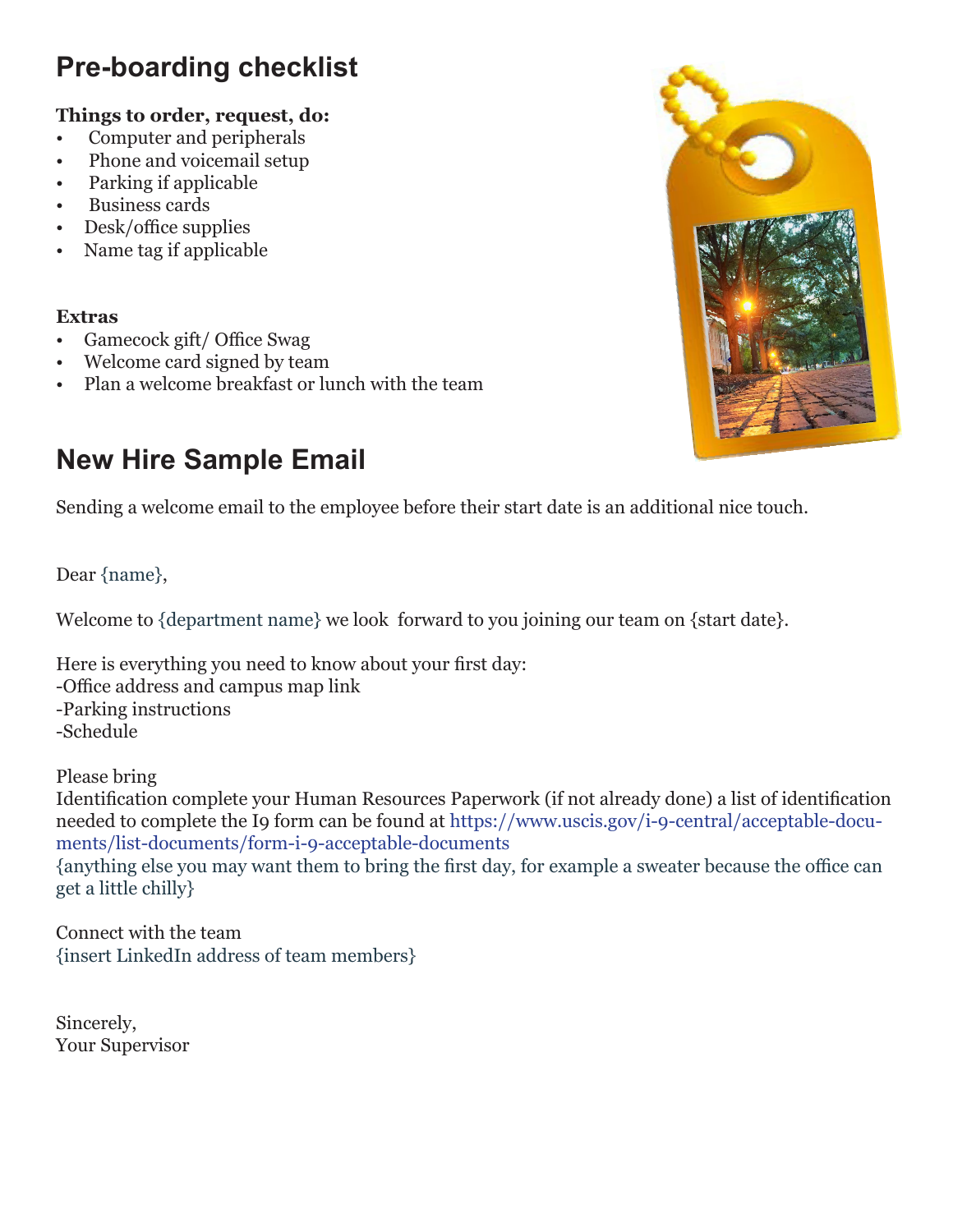# **Pre-boarding checklist**

# **Things to order, request, do:**

- Computer and peripherals
- Phone and voicemail setup
- Parking if applicable
- Business cards
- Desk/office supplies
- Name tag if applicable

## **Extras**

- Gamecock gift/ Office Swag
- Welcome card signed by team
- Plan a welcome breakfast or lunch with the team

# **New Hire Sample Email**

Sending a welcome email to the employee before their start date is an additional nice touch.

## Dear {name},

Welcome to {department name} we look forward to you joining our team on {start date}.

Here is everything you need to know about your first day: -Office address and campus map link -Parking instructions -Schedule

Please bring

Identification complete your Human Resources Paperwork (if not already done) a list of identification needed to complete the I9 form can be found at https://www.uscis.gov/i-9-central/acceptable-documents/list-documents/form-i-9-acceptable-documents

{anything else you may want them to bring the first day, for example a sweater because the office can get a little chilly}

Connect with the team {insert LinkedIn address of team members}

Sincerely, Your Supervisor